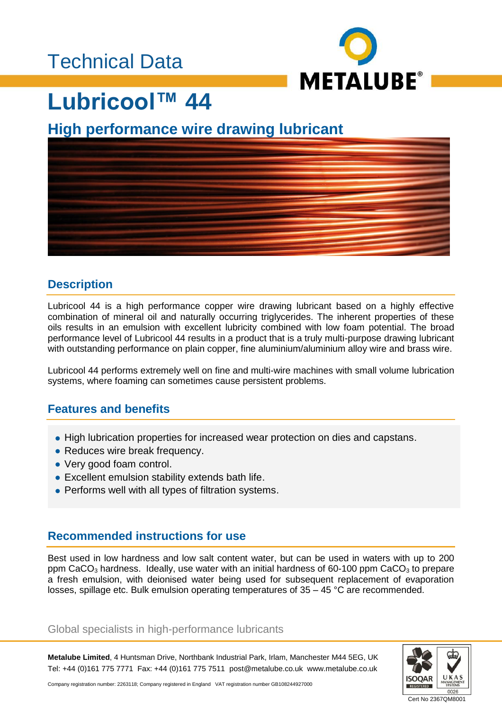### Technical Data



### **Lubricool™ 44**

### **High performance wire drawing lubricant**



#### **Description**

Lubricool 44 is a high performance copper wire drawing lubricant based on a highly effective combination of mineral oil and naturally occurring triglycerides. The inherent properties of these oils results in an emulsion with excellent lubricity combined with low foam potential. The broad performance level of Lubricool 44 results in a product that is a truly multi-purpose drawing lubricant with outstanding performance on plain copper, fine aluminium/aluminium alloy wire and brass wire.

Lubricool 44 performs extremely well on fine and multi-wire machines with small volume lubrication systems, where foaming can sometimes cause persistent problems.

#### **Features and benefits**

- High lubrication properties for increased wear protection on dies and capstans.
- Reduces wire break frequency.
- Very good foam control.
- Excellent emulsion stability extends bath life.
- Performs well with all types of filtration systems.

#### **Recommended instructions for use**

Best used in low hardness and low salt content water, but can be used in waters with up to 200 ppm CaCO<sub>3</sub> hardness. Ideally, use water with an initial hardness of 60-100 ppm CaCO<sub>3</sub> to prepare a fresh emulsion, with deionised water being used for subsequent replacement of evaporation losses, spillage etc. Bulk emulsion operating temperatures of  $35 - 45$  °C are recommended.

#### Global specialists in high-performance lubricants

**Metalube Limited**, 4 Huntsman Drive, Northbank Industrial Park, Irlam, Manchester M44 5EG, UK Tel: +44 (0)161 775 7771 Fax: +44 (0)161 775 7511 post@metalube.co.uk www.metalube.co.uk



Company registration number: 2263118; Company registered in England VAT registration number GB108244927000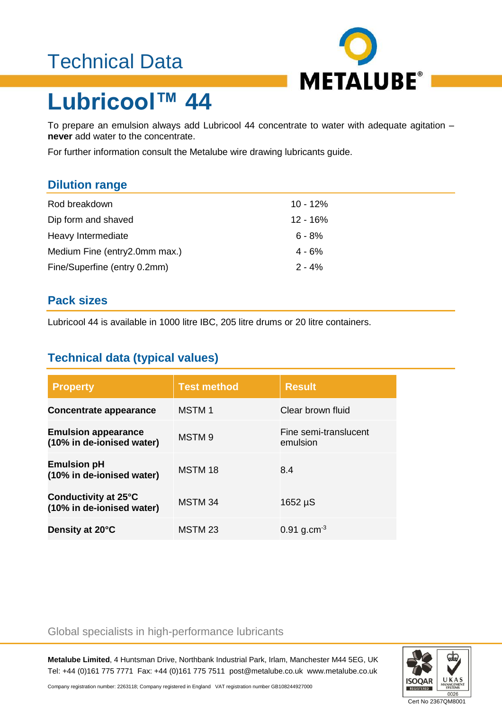### Technical Data



# **Lubricool™ 44**

To prepare an emulsion always add Lubricool 44 concentrate to water with adequate agitation – **never** add water to the concentrate.

For further information consult the Metalube wire drawing lubricants guide.

#### **Dilution range**

| Rod breakdown                 | 10 - 12%   |
|-------------------------------|------------|
| Dip form and shaved           | $12 - 16%$ |
| Heavy Intermediate            | $6 - 8%$   |
| Medium Fine (entry2.0mm max.) | $4 - 6%$   |
| Fine/Superfine (entry 0.2mm)  | $2 - 4%$   |

#### **Pack sizes**

Lubricool 44 is available in 1000 litre IBC, 205 litre drums or 20 litre containers.

### **Technical data (typical values)**

| <b>Property</b>                                         | <b>Test method</b> | <b>Result</b>                     |
|---------------------------------------------------------|--------------------|-----------------------------------|
| Concentrate appearance                                  | <b>MSTM1</b>       | Clear brown fluid                 |
| <b>Emulsion appearance</b><br>(10% in de-ionised water) | MSTM <sub>9</sub>  | Fine semi-translucent<br>emulsion |
| <b>Emulsion pH</b><br>(10% in de-ionised water)         | MSTM 18            | 8.4                               |
| Conductivity at 25°C<br>(10% in de-ionised water)       | MSTM 34            | $1652 \mu S$                      |
| Density at 20°C                                         | MSTM <sub>23</sub> | $0.91$ g.cm <sup>-3</sup>         |

#### Global specialists in high-performance lubricants

**Metalube Limited**, 4 Huntsman Drive, Northbank Industrial Park, Irlam, Manchester M44 5EG, UK Tel: +44 (0)161 775 7771 Fax: +44 (0)161 775 7511 post@metalube.co.uk www.metalube.co.uk



Company registration number: 2263118; Company registered in England VAT registration number GB108244927000

Cert No 2367QM8001